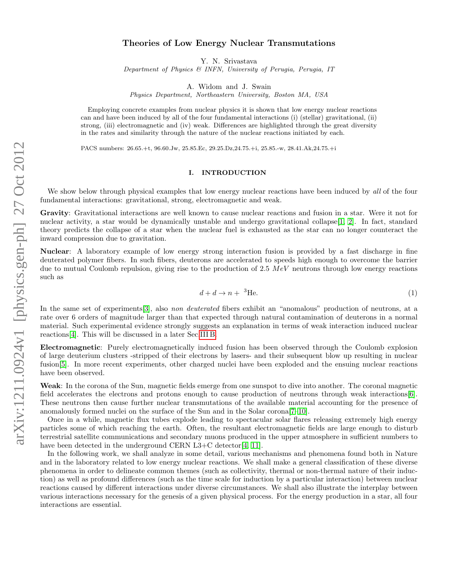# arXiv:1211.0924v1 [physics.gen-ph] 27 Oct 2012 arXiv:1211.0924v1 [physics.gen-ph] 27 Oct 2012

# Theories of Low Energy Nuclear Transmutations

Y. N. Srivastava

Department of Physics & INFN, University of Perugia, Perugia, IT

A. Widom and J. Swain

Physics Department, Northeastern University, Boston MA, USA

Employing concrete examples from nuclear physics it is shown that low energy nuclear reactions can and have been induced by all of the four fundamental interactions (i) (stellar) gravitational, (ii) strong, (iii) electromagnetic and (iv) weak. Differences are highlighted through the great diversity in the rates and similarity through the nature of the nuclear reactions initiated by each.

PACS numbers: 26.65.+t, 96.60.Jw, 25.85.Ec, 29.25.Dz,24.75.+i, 25.85.-w, 28.41.Ak,24.75.+i

# I. INTRODUCTION

We show below through physical examples that low energy nuclear reactions have been induced by all of the four fundamental interactions: gravitational, strong, electromagnetic and weak.

Gravity: Gravitational interactions are well known to cause nuclear reactions and fusion in a star. Were it not for nuclear activity, a star would be dynamically unstable and undergo gravitational collapse[\[1,](#page-15-0) [2\]](#page-15-1). In fact, standard theory predicts the collapse of a star when the nuclear fuel is exhausted as the star can no longer counteract the inward compression due to gravitation.

Nuclear: A laboratory example of low energy strong interaction fusion is provided by a fast discharge in fine deuterated polymer fibers. In such fibers, deuterons are accelerated to speeds high enough to overcome the barrier due to mutual Coulomb repulsion, giving rise to the production of 2.5  $MeV$  neutrons through low energy reactions such as

<span id="page-0-0"></span>
$$
d + d \to n + \, ^3\text{He.}\tag{1}
$$

In the same set of experiments [\[3\]](#page-15-2), also *non deuterated* fibers exhibit an "anomalous" production of neutrons, at a rate over 6 orders of magnitude larger than that expected through natural contamination of deuterons in a normal material. Such experimental evidence strongly suggests an explanation in terms of weak interaction induced nuclear reactions[\[4\]](#page-15-3). This will be discussed in a later Sec[.III B.](#page-6-0)

Electromagnetic: Purely electromagnetically induced fusion has been observed through the Coulomb explosion of large deuterium clusters -stripped of their electrons by lasers- and their subsequent blow up resulting in nuclear fusion[\[5\]](#page-15-4). In more recent experiments, other charged nuclei have been exploded and the ensuing nuclear reactions have been observed.

Weak: In the corona of the Sun, magnetic fields emerge from one sunspot to dive into another. The coronal magnetic field accelerates the electrons and protons enough to cause production of neutrons through weak interactions[\[6\]](#page-15-5). These neutrons then cause further nuclear transmutations of the available material accounting for the presence of anomalously formed nuclei on the surface of the Sun and in the Solar corona[\[7–](#page-15-6)[10\]](#page-15-7).

Once in a while, magnetic flux tubes explode leading to spectacular solar flares releasing extremely high energy particles some of which reaching the earth. Often, the resultant electromagnetic fields are large enough to disturb terrestrial satellite communications and secondary muons produced in the upper atmosphere in sufficient numbers to have been detected in the underground CERN L3+C detector [\[4,](#page-15-3) [11\]](#page-15-8).

In the following work, we shall analyze in some detail, various mechanisms and phenomena found both in Nature and in the laboratory related to low energy nuclear reactions. We shall make a general classification of these diverse phenomena in order to delineate common themes (such as collectivity, thermal or non-thermal nature of their induction) as well as profound differences (such as the time scale for induction by a particular interaction) between nuclear reactions caused by different interactions under diverse circumstances. We shall also illustrate the interplay between various interactions necessary for the genesis of a given physical process. For the energy production in a star, all four interactions are essential.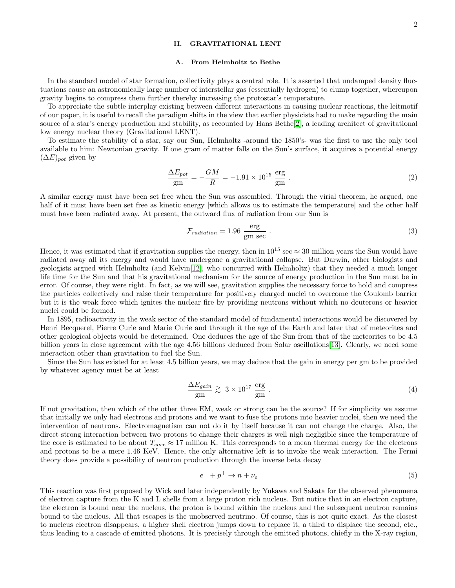# II. GRAVITATIONAL LENT

### A. From Helmholtz to Bethe

In the standard model of star formation, collectivity plays a central role. It is asserted that undamped density fluctuations cause an astronomically large number of interstellar gas (essentially hydrogen) to clump together, whereupon gravity begins to compress them further thereby increasing the protostar's temperature.

To appreciate the subtle interplay existing between different interactions in causing nuclear reactions, the leitmotif of our paper, it is useful to recall the paradigm shifts in the view that earlier physicists had to make regarding the main source of a star's energy production and stability, as recounted by Hans Bethe[\[2\]](#page-15-1), a leading architect of gravitational low energy nuclear theory (Gravitational LENT).

To estimate the stability of a star, say our Sun, Helmholtz -around the 1850's- was the first to use the only tool available to him: Newtonian gravity. If one gram of matter falls on the Sun's surface, it acquires a potential energy  $(\Delta E)_{pot}$  given by

$$
\frac{\Delta E_{pot}}{\text{gm}} = -\frac{GM}{R} = -1.91 \times 10^{15} \frac{\text{erg}}{\text{gm}} \tag{2}
$$

A similar energy must have been set free when the Sun was assembled. Through the virial theorem, he argued, one half of it must have been set free as kinetic energy which allows us to estimate the temperature and the other half must have been radiated away. At present, the outward flux of radiation from our Sun is

$$
\mathcal{F}_{radiation} = 1.96 \frac{\text{erg}}{\text{gm sec}} \ . \tag{3}
$$

Hence, it was estimated that if gravitation supplies the energy, then in  $10^{15}$  sec  $\approx 30$  million years the Sun would have radiated away all its energy and would have undergone a gravitational collapse. But Darwin, other biologists and geologists argued with Helmholtz (and Kelvin[\[12\]](#page-15-9), who concurred with Helmholtz) that they needed a much longer life time for the Sun and that his gravitational mechanism for the source of energy production in the Sun must be in error. Of course, they were right. In fact, as we will see, gravitation supplies the necessary force to hold and compress the particles collectively and raise their temperature for positively charged nuclei to overcome the Coulomb barrier but it is the weak force which ignites the nuclear fire by providing neutrons without which no deuterons or heavier nuclei could be formed.

In 1895, radioactivity in the weak sector of the standard model of fundamental interactions would be discovered by Henri Becquerel, Pierre Curie and Marie Curie and through it the age of the Earth and later that of meteorites and other geological objects would be determined. One deduces the age of the Sun from that of the meteorites to be 4.5 billion years in close agreement with the age 4.56 billions deduced from Solar oscillations[\[13\]](#page-15-10). Clearly, we need some interaction other than gravitation to fuel the Sun.

Since the Sun has existed for at least 4.5 billion years, we may deduce that the gain in energy per gm to be provided by whatever agency must be at least

<span id="page-1-1"></span>
$$
\frac{\Delta E_{gain}}{\text{gm}} \gtrsim 3 \times 10^{17} \frac{\text{erg}}{\text{gm}} \ . \tag{4}
$$

If not gravitation, then which of the other three EM, weak or strong can be the source? If for simplicity we assume that initially we only had electrons and protons and we want to fuse the protons into heavier nuclei, then we need the intervention of neutrons. Electromagnetism can not do it by itself because it can not change the charge. Also, the direct strong interaction between two protons to change their charges is well nigh negligible since the temperature of the core is estimated to be about  $T_{core} \approx 17$  million K. This corresponds to a mean thermal energy for the electrons and protons to be a mere 1.46 KeV. Hence, the only alternative left is to invoke the weak interaction. The Fermi theory does provide a possibility of neutron production through the inverse beta decay

<span id="page-1-0"></span>
$$
e^- + p^+ \to n + \nu_e \tag{5}
$$

This reaction was first proposed by Wick and later independently by Yukawa and Sakata for the observed phenomena of electron capture from the K and L shells from a large proton rich nucleus. But notice that in an electron capture, the electron is bound near the nucleus, the proton is bound within the nucleus and the subsequent neutron remains bound to the nucleus. All that escapes is the unobserved neutrino. Of course, this is not quite exact. As the closest to nucleus electron disappears, a higher shell electron jumps down to replace it, a third to displace the second, etc., thus leading to a cascade of emitted photons. It is precisely through the emitted photons, chiefly in the X-ray region,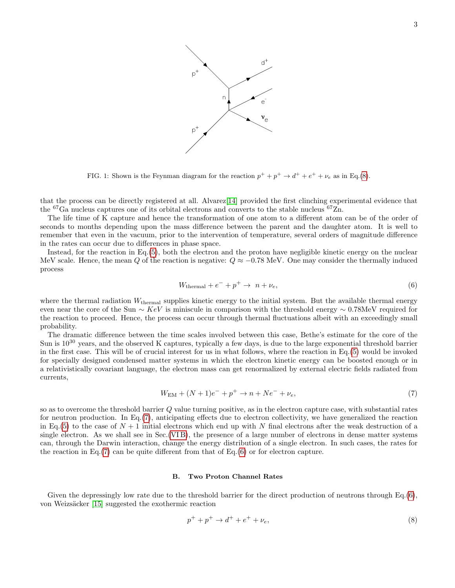

<span id="page-2-3"></span>FIG. 1: Shown is the Feynman diagram for the reaction  $p^+ + p^+ \rightarrow d^+ + e^+ + \nu_e$  as in Eq.[\(8\)](#page-2-0).

that the process can be directly registered at all. Alvarez[\[14\]](#page-15-11) provided the first clinching experimental evidence that the <sup>67</sup>Ga nucleus captures one of its orbital electrons and converts to the stable nucleus <sup>67</sup>Zn.

The life time of K capture and hence the transformation of one atom to a different atom can be of the order of seconds to months depending upon the mass difference between the parent and the daughter atom. It is well to remember that even in the vacuum, prior to the intervention of temperature, several orders of magnitude difference in the rates can occur due to differences in phase space.

Instead, for the reaction in Eq.[\(5\)](#page-1-0), both the electron and the proton have negligible kinetic energy on the nuclear MeV scale. Hence, the mean Q of the reaction is negative:  $Q \approx -0.78$  MeV. One may consider the thermally induced process

<span id="page-2-2"></span>
$$
W_{\text{thermal}} + e^- + p^+ \to n + \nu_e,\tag{6}
$$

where the thermal radiation  $W_{\text{thermal}}$  supplies kinetic energy to the initial system. But the available thermal energy even near the core of the Sun ~ KeV is miniscule in comparison with the threshold energy ~ 0.78MeV required for the reaction to proceed. Hence, the process can occur through thermal fluctuations albeit with an exceedingly small probability.

The dramatic difference between the time scales involved between this case, Bethe's estimate for the core of the Sun is  $10^{30}$  years, and the observed K captures, typically a few days, is due to the large exponential threshold barrier in the first case. This will be of crucial interest for us in what follows, where the reaction in Eq.[\(5\)](#page-1-0) would be invoked for specially designed condensed matter systems in which the electron kinetic energy can be boosted enough or in a relativistically covariant language, the electron mass can get renormalized by external electric fields radiated from currents,

<span id="page-2-1"></span>
$$
W_{\rm EM} + (N+1)e^- + p^+ \to n + Ne^- + \nu_e,\tag{7}
$$

so as to overcome the threshold barrier  $Q$  value turning positive, as in the electron capture case, with substantial rates for neutron production. In Eq.[\(7\)](#page-2-1), anticipating effects due to electron collectivity, we have generalized the reaction in Eq.[\(5\)](#page-1-0) to the case of  $N+1$  initial electrons which end up with N final electrons after the weak destruction of a single electron. As we shall see in Sec.[\(VI B\)](#page-10-0), the presence of a large number of electrons in dense matter systems can, through the Darwin interaction, change the energy distribution of a single electron. In such cases, the rates for the reaction in Eq.[\(7\)](#page-2-1) can be quite different from that of Eq.[\(6\)](#page-2-2) or for electron capture.

# B. Two Proton Channel Rates

Given the depressingly low rate due to the threshold barrier for the direct production of neutrons through  $Eq.(6)$  $Eq.(6)$ , von Weizsäcker [\[15\]](#page-16-0) suggested the exothermic reaction

<span id="page-2-0"></span>
$$
p^+ + p^+ \to d^+ + e^+ + \nu_e,\tag{8}
$$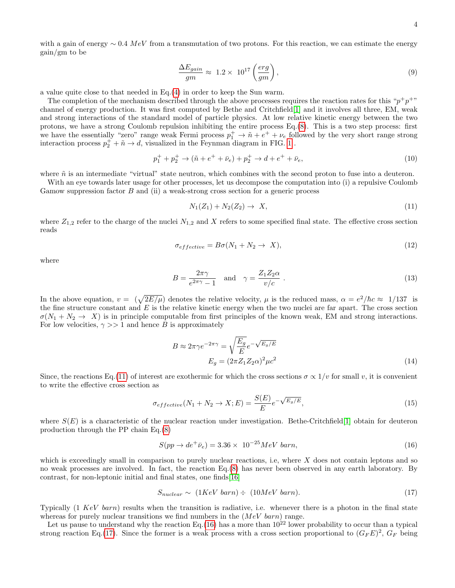with a gain of energy  $\sim 0.4 \; MeV$  from a transmutation of two protons. For this reaction, we can estimate the energy gain/gm to be

$$
\frac{\Delta E_{gain}}{gm} \approx 1.2 \times 10^{17} \left(\frac{erg}{gm}\right),\tag{9}
$$

a value quite close to that needed in Eq.[\(4\)](#page-1-1) in order to keep the Sun warm.

The completion of the mechanism described through the above processes requires the reaction rates for this " $p^+p^+$ " channel of energy production. It was first computed by Bethe and Critchfield[\[1\]](#page-15-0) and it involves all three, EM, weak and strong interactions of the standard model of particle physics. At low relative kinetic energy between the two protons, we have a strong Coulomb repulsion inhibiting the entire process Eq.[\(8\)](#page-2-0). This is a two step process: first we have the essentially "zero" range weak Fermi process  $p_1^+ \to \tilde{n} + e^+ + \nu_e$  followed by the very short range strong interaction process  $p_2^+ + \tilde{n} \to d$ , visualized in the Feynman diagram in FIG. [1](#page-2-3).

$$
p_1^+ + p_2^+ \to (\tilde{n} + e^+ + \bar{\nu}_e) + p_2^+ \to d + e^+ + \bar{\nu}_e,\tag{10}
$$

where  $\tilde{n}$  is an intermediate "virtual" state neutron, which combines with the second proton to fuse into a deuteron.

With an eye towards later usage for other processes, let us decompose the computation into (i) a repulsive Coulomb Gamow suppression factor  $B$  and (ii) a weak-strong cross section for a generic process

<span id="page-3-0"></span>
$$
N_1(Z_1) + N_2(Z_2) \to X,\t\t(11)
$$

where  $Z_{1,2}$  refer to the charge of the nuclei  $N_{1,2}$  and X refers to some specified final state. The effective cross section reads

$$
\sigma_{effective} = B\sigma(N_1 + N_2 \to X),\tag{12}
$$

where

$$
B = \frac{2\pi\gamma}{e^{2\pi\gamma} - 1} \quad \text{and} \quad \gamma = \frac{Z_1 Z_2 \alpha}{v/c} \ . \tag{13}
$$

In the above equation,  $v = (\sqrt{2E/\mu})$  denotes the relative velocity,  $\mu$  is the reduced mass,  $\alpha = e^2/\hbar c \approx 1/137$  is the fine structure constant and  $E$  is the relative kinetic energy when the two nuclei are far apart. The cross section  $\sigma(N_1 + N_2 \rightarrow X)$  is in principle computable from first principles of the known weak, EM and strong interactions. For low velocities,  $\gamma >> 1$  and hence B is approximately

$$
B \approx 2\pi\gamma e^{-2\pi\gamma} = \sqrt{\frac{E_g}{E}} e^{-\sqrt{E_g/E}}
$$

$$
E_g = (2\pi Z_1 Z_2 \alpha)^2 \mu c^2
$$
(14)

Since, the reactions Eq.[\(11\)](#page-3-0) of interest are exothermic for which the cross sections  $\sigma \propto 1/v$  for small v, it is convenient to write the effective cross section as

<span id="page-3-3"></span>
$$
\sigma_{effective}(N_1 + N_2 \to X; E) = \frac{S(E)}{E} e^{-\sqrt{E_g/E}}, \qquad (15)
$$

where  $S(E)$  is a characteristic of the nuclear reaction under investigation. Bethe-Critchfield[\[1\]](#page-15-0) obtain for deuteron production through the PP chain Eq.[\(8\)](#page-2-0)

<span id="page-3-1"></span>
$$
S(pp \to de^+ \bar{\nu}_e) = 3.36 \times 10^{-25} MeV \, barn,
$$
\n(16)

which is exceedingly small in comparison to purely nuclear reactions, i.e, where  $X$  does not contain leptons and so no weak processes are involved. In fact, the reaction Eq.[\(8\)](#page-2-0) has never been observed in any earth laboratory. By contrast, for non-leptonic initial and final states, one finds[\[16\]](#page-16-1)

<span id="page-3-2"></span>
$$
S_{nuclear} \sim (1KeV \, barn) \div (10MeV \, barn). \tag{17}
$$

Typically  $(1 \; KeV \; barn)$  results when the transition is radiative, i.e. whenever there is a photon in the final state whereas for purely nuclear transitions we find numbers in the  $(MeV~bar)$  range.

Let us pause to understand why the reaction Eq.[\(16\)](#page-3-1) has a more than  $10^{22}$  lower probability to occur than a typical strong reaction Eq.[\(17\)](#page-3-2). Since the former is a weak process with a cross section proportional to  $(G_F E)^2$ ,  $G_F$  being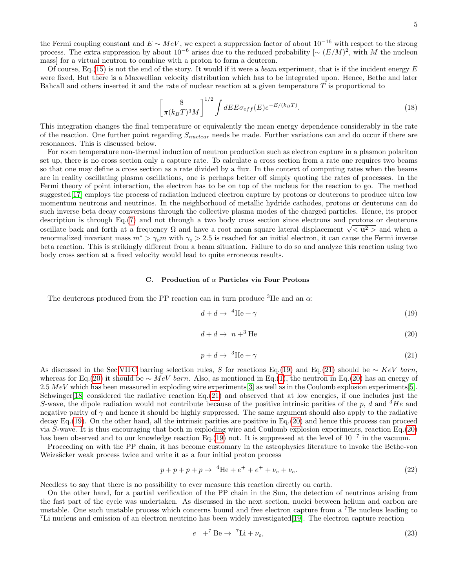5

the Fermi coupling constant and  $E \sim MeV$ , we expect a suppression factor of about  $10^{-16}$  with respect to the strong process. The extra suppression by about  $10^{-6}$  arises due to the reduced probability  $[ \sim (E/M)^2 ]$ , with M the nucleon mass] for a virtual neutron to combine with a proton to form a deuteron.

Of course, Eq.[\(15\)](#page-3-3) is not the end of the story. It would if it were a *beam* experiment, that is if the incident energy  $E$ were fixed, But there is a Maxwellian velocity distribution which has to be integrated upon. Hence, Bethe and later Bahcall and others inserted it and the rate of nuclear reaction at a given temperature T is proportional to

$$
\left[\frac{8}{\pi(k_BT)^3M}\right]^{1/2} \int dE E \sigma_{eff}(E) e^{-E/(k_BT)}.\tag{18}
$$

This integration changes the final temperature or equivalently the mean energy dependence considerably in the rate of the reaction. One further point regarding  $S_{nuclear}$  needs be made. Further variations can and do occur if there are resonances. This is discussed below.

For room temperature non-thermal induction of neutron production such as electron capture in a plasmon polariton set up, there is no cross section only a capture rate. To calculate a cross section from a rate one requires two beams so that one may define a cross section as a rate divided by a flux. In the context of computing rates when the beams are in reality oscillating plasma oscillations, one is perhaps better off simply quoting the rates of processes. In the Fermi theory of point interaction, the electron has to be on top of the nucleus for the reaction to go. The method suggested[\[17\]](#page-16-2) employs the process of radiation induced electron capture by protons or deuterons to produce ultra low momentum neutrons and neutrinos. In the neighborhood of metallic hydride cathodes, protons or deuterons can do such inverse beta decay conversions through the collective plasma modes of the charged particles. Hence, its proper description is through Eq.[\(7\)](#page-2-1) and not through a two body cross section since electrons and protons or deuterons  $\alpha$  description is through Eq.(*t*) and not through a two body cross section since electrons and protons or deterons or deterons or deterons or deterons or deterons or deterons or deterons or deterons or deterons or det renormalized invariant mass  $m^* > \gamma_0 m$  with  $\gamma_0 > 2.5$  is reached for an initial electron, it can cause the Fermi inverse beta reaction. This is strikingly different from a beam situation. Failure to do so and analyze this reaction using two body cross section at a fixed velocity would lead to quite erroneous results.

# C. Production of  $\alpha$  Particles via Four Protons

The deuterons produced from the PP reaction can in turn produce  ${}^{3}$ He and an  $\alpha$ :

<span id="page-4-0"></span>
$$
d + d \to {}^{4}\text{He} + \gamma \tag{19}
$$

<span id="page-4-2"></span>
$$
d + d \to n + ^3\text{He}
$$
 (20)

<span id="page-4-1"></span>
$$
p + d \to {}^{3}\text{He} + \gamma \tag{21}
$$

As discussed in the Sec[.VII C](#page-15-12) barring selection rules, S for reactions Eq.[\(19\)](#page-4-0) and Eq.[\(21\)](#page-4-1) should be ∼ KeV barn, whereas for Eq.[\(20\)](#page-4-2) it should be ∼ MeV barn. Also, as mentioned in Eq.[\(1\)](#page-0-0), the neutron in Eq.(20) has an energy of  $2.5\;MeV$  which has been measured in exploding wire experiments[\[3\]](#page-15-2) as well as in the Coulomb explosion experiments[\[5\]](#page-15-4). Schwinger[\[18\]](#page-16-3) considered the radiative reaction Eq.[\(21\)](#page-4-1) and observed that at low energies, if one includes just the S-wave, the dipole radiation would not contribute because of the positive intrinsic parities of the p, d and  ${}^{3}He$  and negative parity of  $\gamma$  and hence it should be highly suppressed. The same argument should also apply to the radiative decay Eq.[\(19\)](#page-4-0). On the other hand, all the intrinsic parities are positive in Eq.[\(20\)](#page-4-2) and hence this process can proceed via S-wave. It is thus encouraging that both in exploding wire and Coulomb explosion experiments, reaction Eq.[\(20\)](#page-4-2) has been observed and to our knowledge reaction Eq.[\(19\)](#page-4-0) not. It is suppressed at the level of  $10^{-7}$  in the vacuum.

Proceeding on with the PP chain, it has become customary in the astrophysics literature to invoke the Bethe-von Weizsäcker weak process twice and write it as a four initial proton process

$$
p + p + p + p \to {}^{4}\text{He} + e^{+} + e^{+} + \nu_{e} + \nu_{e}. \tag{22}
$$

Needless to say that there is no possibility to ever measure this reaction directly on earth.

On the other hand, for a partial verification of the PP chain in the Sun, the detection of neutrinos arising from the fast part of the cycle was undertaken. As discussed in the next section, nuclei between helium and carbon are unstable. One such unstable process which concerns bound and free electron capture from a <sup>7</sup>Be nucleus leading to <sup>7</sup>Li nucleus and emission of an electron neutrino has been widely investigated[\[19\]](#page-16-4). The electron capture reaction

$$
e^- + ^7\text{Be} \to \ ^7\text{Li} + \nu_e,\tag{23}
$$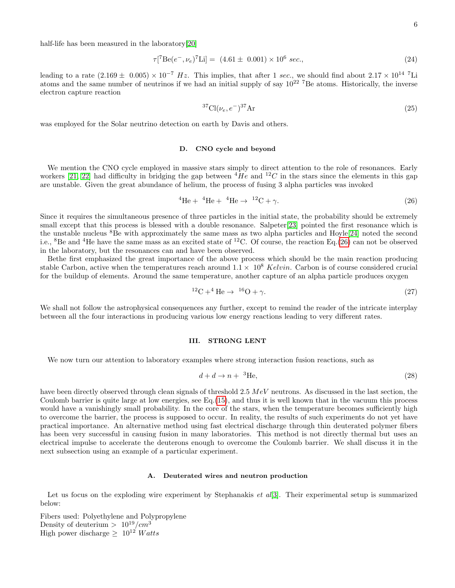half-life has been measured in the laboratory[\[20\]](#page-16-5)

$$
\tau[^{7}Be(e^{-},\nu_{e})^{7}Li] = (4.61 \pm 0.001) \times 10^{6} sec., \tag{24}
$$

leading to a rate  $(2.169 \pm 0.005) \times 10^{-7}$  Hz. This implies, that after 1 sec., we should find about  $2.17 \times 10^{14}$  <sup>7</sup>Li atoms and the same number of neutrinos if we had an initial supply of say  $10^{22}$  <sup>7</sup>Be atoms. Historically, the inverse electron capture reaction

$$
{}^{37}\text{Cl}(\nu_e, e^-){}^{37}\text{Ar} \tag{25}
$$

was employed for the Solar neutrino detection on earth by Davis and others.

### D. CNO cycle and beyond

We mention the CNO cycle employed in massive stars simply to direct attention to the role of resonances. Early workers [\[21,](#page-16-6) [22\]](#page-16-7) had difficulty in bridging the gap between  ${}^{4}He$  and  ${}^{12}C$  in the stars since the elements in this gap are unstable. Given the great abundance of helium, the process of fusing 3 alpha particles was invoked

<span id="page-5-0"></span>
$$
{}^{4}\text{He} + {}^{4}\text{He} + {}^{4}\text{He} \rightarrow {}^{12}\text{C} + \gamma. \tag{26}
$$

Since it requires the simultaneous presence of three particles in the initial state, the probability should be extremely small except that this process is blessed with a double resonance. Salpeter[\[23\]](#page-16-8) pointed the first resonance which is the unstable nucleus <sup>8</sup>Be with approximately the same mass as two alpha particles and Hoyle[\[24\]](#page-16-9) noted the second i.e., <sup>8</sup>Be and <sup>4</sup>He have the same mass as an excited state of <sup>12</sup>C. Of course, the reaction Eq.[\(26\)](#page-5-0) can not be observed in the laboratory, but the resonances can and have been observed.

Bethe first emphasized the great importance of the above process which should be the main reaction producing stable Carbon, active when the temperatures reach around  $1.1 \times 10^8$  Kelvin. Carbon is of course considered crucial for the buildup of elements. Around the same temperature, another capture of an alpha particle produces oxygen

$$
{}^{12}\text{C} + {}^{4}\text{He} \rightarrow {}^{16}\text{O} + \gamma. \tag{27}
$$

We shall not follow the astrophysical consequences any further, except to remind the reader of the intricate interplay between all the four interactions in producing various low energy reactions leading to very different rates.

### III. STRONG LENT

We now turn our attention to laboratory examples where strong interaction fusion reactions, such as

<span id="page-5-1"></span>
$$
d + d \to n + \, ^3\text{He},\tag{28}
$$

have been directly observed through clean signals of threshold 2.5  $MeV$  neutrons. As discussed in the last section, the Coulomb barrier is quite large at low energies, see Eq.[\(15\)](#page-3-3), and thus it is well known that in the vacuum this process would have a vanishingly small probability. In the core of the stars, when the temperature becomes sufficiently high to overcome the barrier, the process is supposed to occur. In reality, the results of such experiments do not yet have practical importance. An alternative method using fast electrical discharge through thin deuterated polymer fibers has been very successful in causing fusion in many laboratories. This method is not directly thermal but uses an electrical impulse to accelerate the deuterons enough to overcome the Coulomb barrier. We shall discuss it in the next subsection using an example of a particular experiment.

# A. Deuterated wires and neutron production

Let us focus on the exploding wire experiment by Stephanakis *et al*[\[3\]](#page-15-2). Their experimental setup is summarized below:

Fibers used: Polyethylene and Polypropylene Density of deuterium  $> 10^{19}/cm^3$ High power discharge  $\geq 10^{12}$  Watts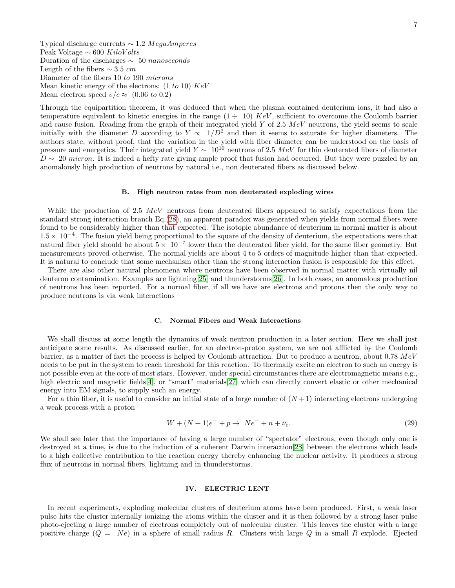Typical discharge currents ∼ 1.2 MegaAmperes Peak Voltage  $\sim 600$  KiloVolts Duration of the discharges  $\sim 50$  nanoseconds Length of the fibers  $\sim$  3.5 cm Diameter of the fibers 10 to 190 microns Mean kinetic energy of the electrons:  $(1 to 10) KeV$ Mean electron speed  $v/c \approx (0.06 \text{ to } 0.2)$ 

Through the equipartition theorem, it was deduced that when the plasma contained deuterium ions, it had also a temperature equivalent to kinetic energies in the range  $(1 \div 10)$  KeV, sufficient to overcome the Coulomb barrier and cause fusion. Reading from the graph of their integrated yield Y of 2.5  $MeV$  neutrons, the yield seems to scale initially with the diameter D according to  $Y \propto 1/D^2$  and then it seems to saturate for higher diameters. The authors state, without proof, that the variation in the yield with fiber diameter can be understood on the basis of pressure and energetics. Their integrated yield  $Y \sim 10^{10}$  neutrons of 2.5 MeV for thin deuterated fibers of diameter  $D \sim 20$  micron. It is indeed a hefty rate giving ample proof that fusion had occurred. But they were puzzled by an anomalously high production of neutrons by natural i.e., non deuterated fibers as discussed below.

### <span id="page-6-0"></span>B. High neutron rates from non deuterated exploding wires

While the production of 2.5  $MeV$  neutrons from deuterated fibers appeared to satisfy expectations from the standard strong interaction branch Eq.[\(28\)](#page-5-1), an apparent paradox was generated when yields from normal fibers were found to be considerably higher than that expected. The isotopic abundance of deuterium in normal matter is about  $1.5\times 10^{-4}$ . The fusion yield being proportional to the square of the density of deuterium, the expectations were that natural fiber yield should be about  $5 \times 10^{-7}$  lower than the deuterated fiber yield, for the same fiber geometry. But measurements proved otherwise. The normal yields are about 4 to 5 orders of magnitude higher than that expected. It is natural to conclude that some mechanism other than the strong interaction fusion is responsible for this effect.

There are also other natural phenomena where neutrons have been observed in normal matter with virtually nil deuteron contamination. Examples are lightning[\[25\]](#page-16-10) and thunderstorms[\[26\]](#page-16-11). In both cases, an anomalous production of neutrons has been reported. For a normal fiber, if all we have are electrons and protons then the only way to produce neutrons is via weak interactions

### C. Normal Fibers and Weak Interactions

We shall discuss at some length the dynamics of weak neutron production in a later section. Here we shall just anticipate some results. As discussed earlier, for an electron-proton system, we are not afflicted by the Coulomb barrier, as a matter of fact the process is helped by Coulomb attraction. But to produce a neutron, about 0.78 MeV needs to be put in the system to reach threshold for this reaction. To thermally excite an electron to such an energy is not possible even at the core of most stars. However, under special circumstances there are electromagnetic means e.g., high electric and magnetic fields [\[4\]](#page-15-3), or "smart" materials [\[27\]](#page-16-12) which can directly convert elastic or other mechanical energy into EM signals, to supply such an energy.

For a thin fiber, it is useful to consider an initial state of a large number of  $(N+1)$  interacting electrons undergoing a weak process with a proton

$$
W + (N+1)e^- + p \to Ne^- + n + \bar{\nu}_e. \tag{29}
$$

We shall see later that the importance of having a large number of "spectator" electrons, even though only one is destroyed at a time, is due to the induction of a coherent Darwin interaction[\[28\]](#page-16-13) between the electrons which leads to a high collective contribution to the reaction energy thereby enhancing the nuclear activity. It produces a strong flux of neutrons in normal fibers, lightning and in thunderstorms.

### IV. ELECTRIC LENT

In recent experiments, exploding molecular clusters of deuterium atoms have been produced. First, a weak laser pulse hits the cluster internally ionizing the atoms within the cluster and it is then followed by a strong laser pulse photo-ejecting a large number of electrons completely out of molecular cluster. This leaves the cluster with a large positive charge  $(Q = Ne)$  in a sphere of small radius R. Clusters with large Q in a small R explode. Ejected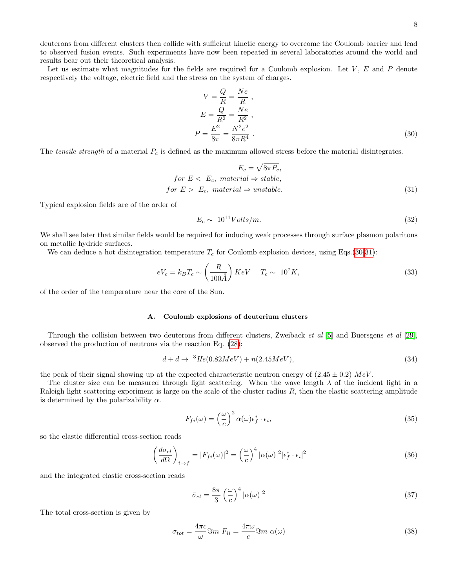deuterons from different clusters then collide with sufficient kinetic energy to overcome the Coulomb barrier and lead to observed fusion events. Such experiments have now been repeated in several laboratories around the world and results bear out their theoretical analysis.

Let us estimate what magnitudes for the fields are required for a Coulomb explosion. Let  $V, E$  and  $P$  denote respectively the voltage, electric field and the stress on the system of charges.

<span id="page-7-0"></span>
$$
V = \frac{Q}{R} = \frac{Ne}{R},
$$
  
\n
$$
E = \frac{Q}{R^2} = \frac{Ne}{R^2},
$$
  
\n
$$
P = \frac{E^2}{8\pi} = \frac{N^2 e^2}{8\pi R^4}.
$$
\n(30)

The tensile strength of a material  $P_c$  is defined as the maximum allowed stress before the material disintegrates.

$$
E_c = \sqrt{8\pi P_c},
$$
  
for  $E < E_c$ , material  $\Rightarrow$  stable,  
for  $E > E_c$ , material  $\Rightarrow$  unstable. (31)

Typical explosion fields are of the order of

<span id="page-7-1"></span>
$$
E_c \sim 10^{11} Volts/m. \tag{32}
$$

We shall see later that similar fields would be required for inducing weak processes through surface plasmon polaritons on metallic hydride surfaces.

We can deduce a hot disintegration temperature  $T_c$  for Coulomb explosion devices, using Eqs.[\(30](#page-7-0)[-31\)](#page-7-1):

$$
eV_c = k_B T_c \sim \left(\frac{R}{100\AA}\right) KeV \quad T_c \sim 10^7 K,\tag{33}
$$

of the order of the temperature near the core of the Sun.

### A. Coulomb explosions of deuterium clusters

Through the collision between two deuterons from different clusters, Zweiback et al [\[5\]](#page-15-4) and Buersgens et al [\[29\]](#page-16-14), observed the production of neutrons via the reaction Eq. [\(28\)](#page-5-1):

$$
d + d \to {}^{3}He(0.82MeV) + n(2.45MeV), \tag{34}
$$

the peak of their signal showing up at the expected characteristic neutron energy of  $(2.45 \pm 0.2)$  MeV.

The cluster size can be measured through light scattering. When the wave length  $\lambda$  of the incident light in a Raleigh light scattering experiment is large on the scale of the cluster radius  $R$ , then the elastic scattering amplitude is determined by the polarizability  $\alpha$ .

$$
F_{fi}(\omega) = \left(\frac{\omega}{c}\right)^2 \alpha(\omega) \epsilon_f^* \cdot \epsilon_i,
$$
\n(35)

so the elastic differential cross-section reads

$$
\left(\frac{d\sigma_{el}}{d\Omega}\right)_{i\to f} = |F_{fi}(\omega)|^2 = \left(\frac{\omega}{c}\right)^4 |\alpha(\omega)|^2 |\epsilon_f^* \cdot \epsilon_i|^2 \tag{36}
$$

and the integrated elastic cross-section reads

$$
\bar{\sigma}_{el} = \frac{8\pi}{3} \left(\frac{\omega}{c}\right)^4 |\alpha(\omega)|^2 \tag{37}
$$

The total cross-section is given by

$$
\sigma_{tot} = \frac{4\pi c}{\omega} \Im m \ F_{ii} = \frac{4\pi \omega}{c} \Im m \ \alpha(\omega)
$$
\n(38)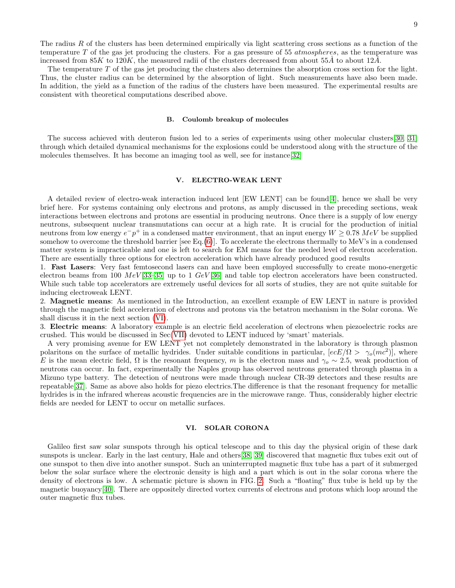The radius  $R$  of the clusters has been determined empirically via light scattering cross sections as a function of the temperature T of the gas jet producing the clusters. For a gas pressure of 55 *atmospheres*, as the temperature was increased from 85K to 120K, the measured radii of the clusters decreased from about 55Å to about 12Å.

The temperature T of the gas jet producing the clusters also determines the absorption cross section for the light. Thus, the cluster radius can be determined by the absorption of light. Such measurements have also been made. In addition, the yield as a function of the radius of the clusters have been measured. The experimental results are consistent with theoretical computations described above.

### B. Coulomb breakup of molecules

The success achieved with deuteron fusion led to a series of experiments using other molecular clusters[\[30,](#page-16-15) [31\]](#page-16-16) through which detailed dynamical mechanisms for the explosions could be understood along with the structure of the molecules themselves. It has become an imaging tool as well, see for instance[\[32\]](#page-16-17)

### <span id="page-8-1"></span>V. ELECTRO-WEAK LENT

A detailed review of electro-weak interaction induced lent [EW LENT] can be found[\[4\]](#page-15-3), hence we shall be very brief here. For systems containing only electrons and protons, as amply discussed in the preceding sections, weak interactions between electrons and protons are essential in producing neutrons. Once there is a supply of low energy neutrons, subsequent nuclear transmutations can occur at a high rate. It is crucial for the production of initial neutrons from low energy  $e^-p^+$  in a condensed matter environment, that an input energy  $W \ge 0.78 \; MeV$  be supplied somehow to overcome the threshold barrier [see Eq.[\(6\)](#page-2-2)]. To accelerate the electrons thermally to MeV's in a condensed matter system is impracticable and one is left to search for EM means for the needed level of electron acceleration. There are essentially three options for electron acceleration which have already produced good results

1. Fast Lasers: Very fast femtosecond lasers can and have been employed successfully to create mono-energetic electron beams from 100  $MeV$  [\[33–](#page-16-18)[35\]](#page-16-19) up to 1  $GeV$  [\[36\]](#page-16-20) and table top electron accelerators have been constructed. While such table top accelerators are extremely useful devices for all sorts of studies, they are not quite suitable for inducing electroweak LENT.

2. Magnetic means: As mentioned in the Introduction, an excellent example of EW LENT in nature is provided through the magnetic field acceleration of electrons and protons via the betatron mechanism in the Solar corona. We shall discuss it in the next section [\(VI\)](#page-8-0).

3. Electric means: A laboratory example is an electric field acceleration of electrons when piezoelectric rocks are crushed. This would be discussed in Sec[\(VII\)](#page-12-0) devoted to LENT induced by 'smart' materials.

A very promising avenue for EW LENT yet not completely demonstrated in the laboratory is through plasmon polaritons on the surface of metallic hydrides. Under suitable conditions in particular,  $[ecE/\Omega > \gamma_o(mc^2)]$ , where E is the mean electric field,  $\Omega$  is the resonant frequency, m is the electron mass and  $\gamma_o \sim 2.5$ , weak production of neutrons can occur. In fact, experimentally the Naples group has observed neutrons generated through plasma in a Mizuno type battery. The detection of neutrons were made through nuclear CR-39 detectors and these results are repeatable[\[37\]](#page-16-21). Same as above also holds for piezo electrics.The difference is that the resonant frequency for metallic hydrides is in the infrared whereas acoustic frequencies are in the microwave range. Thus, considerably higher electric fields are needed for LENT to occur on metallic surfaces.

# <span id="page-8-0"></span>VI. SOLAR CORONA

Galileo first saw solar sunspots through his optical telescope and to this day the physical origin of these dark sunspots is unclear. Early in the last century, Hale and others[\[38,](#page-16-22) [39\]](#page-16-23) discovered that magnetic flux tubes exit out of one sunspot to then dive into another sunspot. Such an uninterrupted magnetic flux tube has a part of it submerged below the solar surface where the electronic density is high and a part which is out in the solar corona where the density of electrons is low. A schematic picture is shown in FIG. [2.](#page-9-0) Such a "floating" flux tube is held up by the magnetic buoyancy[\[40\]](#page-16-24). There are oppositely directed vortex currents of electrons and protons which loop around the outer magnetic flux tubes.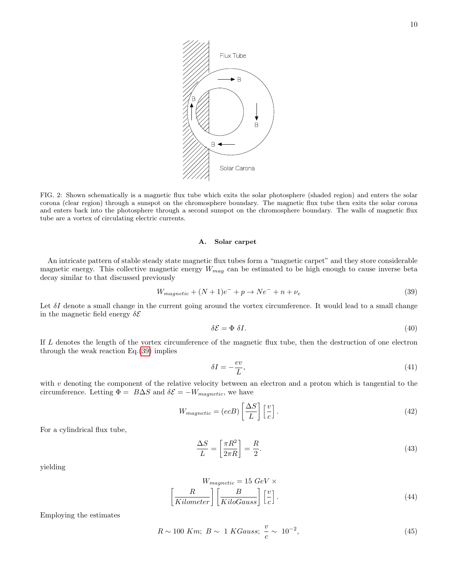

<span id="page-9-0"></span>FIG. 2: Shown schematically is a magnetic flux tube which exits the solar photosphere (shaded region) and enters the solar corona (clear region) through a sunspot on the chromosphere boundary. The magnetic flux tube then exits the solar corona and enters back into the photosphere through a second sunspot on the chromosphere boundary. The walls of magnetic flux tube are a vortex of circulating electric currents.

# A. Solar carpet

An intricate pattern of stable steady state magnetic flux tubes form a "magnetic carpet" and they store considerable magnetic energy. This collective magnetic energy  $W_{mag}$  can be estimated to be high enough to cause inverse beta decay similar to that discussed previously

<span id="page-9-1"></span>
$$
W_{magnetic} + (N+1)e^- + p \rightarrow Ne^- + n + \nu_e \tag{39}
$$

Let  $\delta I$  denote a small change in the current going around the vortex circumference. It would lead to a small change in the magnetic field energy  $\delta \mathcal{E}$ 

$$
\delta \mathcal{E} = \Phi \, \delta I. \tag{40}
$$

If L denotes the length of the vortex circumference of the magnetic flux tube, then the destruction of one electron through the weak reaction Eq.[\(39\)](#page-9-1) implies

$$
\delta I = -\frac{ev}{L},\tag{41}
$$

with  $v$  denoting the component of the relative velocity between an electron and a proton which is tangential to the circumference. Letting  $\Phi = B\Delta S$  and  $\delta \mathcal{E} = -W_{magnetic}$ , we have

$$
W_{magnetic} = (ecB) \left[ \frac{\Delta S}{L} \right] \left[ \frac{v}{c} \right]. \tag{42}
$$

For a cylindrical flux tube,

$$
\frac{\Delta S}{L} = \left[\frac{\pi R^2}{2\pi R}\right] = \frac{R}{2}.\tag{43}
$$

yielding

$$
W_{magnetic} = 15 \ GeV \times
$$

$$
\left[\frac{R}{Kilometer}\right] \left[\frac{B}{KiloGauss}\right] \left[\frac{v}{c}\right].
$$
 (44)

Employing the estimates

$$
R \sim 100 \text{ Km}; \ B \sim 1 \text{ KGauss}; \ \frac{v}{c} \sim 10^{-2},
$$
 (45)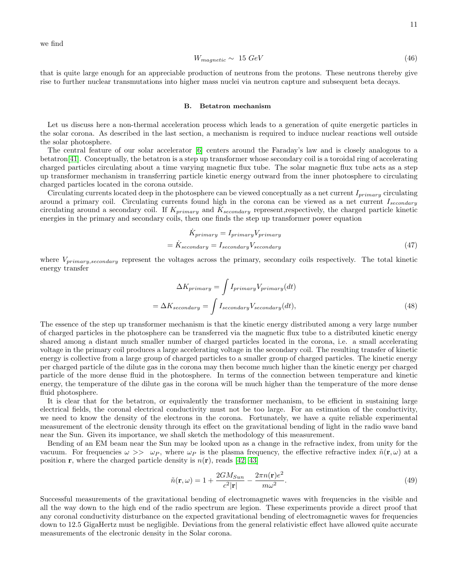we find

$$
W_{magnetic} \sim 15 \; GeV \tag{46}
$$

that is quite large enough for an appreciable production of neutrons from the protons. These neutrons thereby give rise to further nuclear transmutations into higher mass nuclei via neutron capture and subsequent beta decays.

### <span id="page-10-0"></span>B. Betatron mechanism

Let us discuss here a non-thermal acceleration process which leads to a generation of quite energetic particles in the solar corona. As described in the last section, a mechanism is required to induce nuclear reactions well outside the solar photosphere.

The central feature of our solar accelerator [\[6\]](#page-15-5) centers around the Faraday's law and is closely analogous to a betatron[\[41\]](#page-16-25). Conceptually, the betatron is a step up transformer whose secondary coil is a toroidal ring of accelerating charged particles circulating about a time varying magnetic flux tube. The solar magnetic flux tube acts as a step up transformer mechanism in transferring particle kinetic energy outward from the inner photosphere to circulating charged particles located in the corona outside.

Circulating currents located deep in the photosphere can be viewed conceptually as a net current  $I_{primary}$  circulating around a primary coil. Circulating currents found high in the corona can be viewed as a net current  $I_{secondary}$ circulating around a secondary coil. If  $K_{primary}$  and  $K_{secondary}$  represent,respectively, the charged particle kinetic energies in the primary and secondary coils, then one finds the step up transformer power equation

$$
\dot{K}_{primary} = I_{primary} V_{primary}
$$
\n
$$
= \dot{K}_{secondary} = I_{secondary} V_{secondary}
$$
\n(47)

where  $V_{primary, secondary}$  represent the voltages across the primary, secondary coils respectively. The total kinetic energy transfer

$$
\Delta K_{primary} = \int I_{primary} V_{primary}(dt)
$$

$$
= \Delta K_{secondary} = \int I_{secondary} V_{secondary}(dt),
$$
(48)

The essence of the step up transformer mechanism is that the kinetic energy distributed among a very large number of charged particles in the photosphere can be transferred via the magnetic flux tube to a distributed kinetic energy shared among a distant much smaller number of charged particles located in the corona, i.e. a small accelerating voltage in the primary coil produces a large accelerating voltage in the secondary coil. The resulting transfer of kinetic energy is collective from a large group of charged particles to a smaller group of charged particles. The kinetic energy per charged particle of the dilute gas in the corona may then become much higher than the kinetic energy per charged particle of the more dense fluid in the photosphere. In terms of the connection between temperature and kinetic energy, the temperature of the dilute gas in the corona will be much higher than the temperature of the more dense fluid photosphere.

It is clear that for the betatron, or equivalently the transformer mechanism, to be efficient in sustaining large electrical fields, the coronal electrical conductivity must not be too large. For an estimation of the conductivity, we need to know the density of the electrons in the corona. Fortunately, we have a quite reliable experimental measurement of the electronic density through its effect on the gravitational bending of light in the radio wave band near the Sun. Given its importance, we shall sketch the methodology of this measurement.

Bending of an EM beam near the Sun may be looked upon as a change in the refractive index, from unity for the vacuum. For frequencies  $\omega >> \omega_P$ , where  $\omega_P$  is the plasma frequency, the effective refractive index  $\tilde{n}(\mathbf{r}, \omega)$  at a position **r**, where the charged particle density is  $n(\mathbf{r})$ , reads [\[42,](#page-16-26) [43\]](#page-16-27)

$$
\tilde{n}(\mathbf{r}, \omega) = 1 + \frac{2GM_{Sun}}{c^2 |\mathbf{r}|} - \frac{2\pi n(\mathbf{r})e^2}{m\omega^2}.
$$
\n(49)

Successful measurements of the gravitational bending of electromagnetic waves with frequencies in the visible and all the way down to the high end of the radio spectrum are legion. These experiments provide a direct proof that any coronal conductivity disturbance on the expected gravitational bending of electromagnetic waves for frequencies down to 12.5 GigaHertz must be negligible. Deviations from the general relativistic effect have allowed quite accurate measurements of the electronic density in the Solar corona.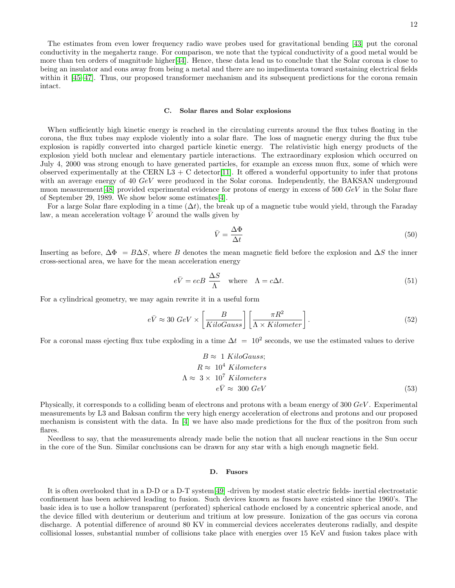The estimates from even lower frequency radio wave probes used for gravitational bending [\[43\]](#page-16-27) put the coronal conductivity in the megahertz range. For comparison, we note that the typical conductivity of a good metal would be more than ten orders of magnitude higher[\[44\]](#page-16-28). Hence, these data lead us to conclude that the Solar corona is close to being an insulator and eons away from being a metal and there are no impedimenta toward sustaining electrical fields within it [\[45](#page-16-29)[–47\]](#page-16-30). Thus, our proposed transformer mechanism and its subsequent predictions for the corona remain intact.

### C. Solar flares and Solar explosions

When sufficiently high kinetic energy is reached in the circulating currents around the flux tubes floating in the corona, the flux tubes may explode violently into a solar flare. The loss of magnetic energy during the flux tube explosion is rapidly converted into charged particle kinetic energy. The relativistic high energy products of the explosion yield both nuclear and elementary particle interactions. The extraordinary explosion which occurred on July 4, 2000 was strong enough to have generated particles, for example an excess muon flux, some of which were observed experimentally at the CERN L3 + C detector [\[11\]](#page-15-8). It offered a wonderful opportunity to infer that protons with an average energy of 40 GeV were produced in the Solar corona. Independently, the BAKSAN underground muon measurement [\[48\]](#page-16-31) provided experimental evidence for protons of energy in excess of 500  $GeV$  in the Solar flare of September 29, 1989. We show below some estimates[\[4\]](#page-15-3).

For a large Solar flare exploding in a time  $(\Delta t)$ , the break up of a magnetic tube would yield, through the Faraday law, a mean acceleration voltage  $\bar{V}$  around the walls given by

$$
\bar{V} = \frac{\Delta \Phi}{\Delta t} \tag{50}
$$

Inserting as before,  $\Delta \Phi = B\Delta S$ , where B denotes the mean magnetic field before the explosion and  $\Delta S$  the inner cross-sectional area, we have for the mean acceleration energy

$$
e\bar{V} = ecB \frac{\Delta S}{\Lambda} \quad \text{where} \quad \Lambda = c\Delta t. \tag{51}
$$

For a cylindrical geometry, we may again rewrite it in a useful form

$$
e\bar{V} \approx 30 \ GeV \times \left[\frac{B}{KiloGauss}\right] \left[\frac{\pi R^2}{\Lambda \times Kilometer}\right].
$$
 (52)

For a coronal mass ejecting flux tube exploding in a time  $\Delta t = 10^2$  seconds, we use the estimated values to derive

$$
B \approx 1 \text{ KiloGauss};
$$
  
\n
$$
R \approx 10^4 \text{ Kilometers}
$$
  
\n
$$
\Lambda \approx 3 \times 10^7 \text{ Kilometers}
$$
  
\n
$$
e\bar{V} \approx 300 \text{ GeV}
$$
\n(53)

Physically, it corresponds to a colliding beam of electrons and protons with a beam energy of 300 GeV . Experimental measurements by L3 and Baksan confirm the very high energy acceleration of electrons and protons and our proposed mechanism is consistent with the data. In [\[4\]](#page-15-3) we have also made predictions for the flux of the positron from such flares.

Needless to say, that the measurements already made belie the notion that all nuclear reactions in the Sun occur in the core of the Sun. Similar conclusions can be drawn for any star with a high enough magnetic field.

### D. Fusors

It is often overlooked that in a D-D or a D-T system[\[49\]](#page-16-32) -driven by modest static electric fields- inertial electrostatic confinement has been achieved leading to fusion. Such devices known as fusors have existed since the 1960's. The basic idea is to use a hollow transparent (perforated) spherical cathode enclosed by a concentric spherical anode, and the device filled with deuterium or deuterium and tritium at low pressure. Ionization of the gas occurs via corona discharge. A potential difference of around 80 KV in commercial devices accelerates deuterons radially, and despite collisional losses, substantial number of collisions take place with energies over 15 KeV and fusion takes place with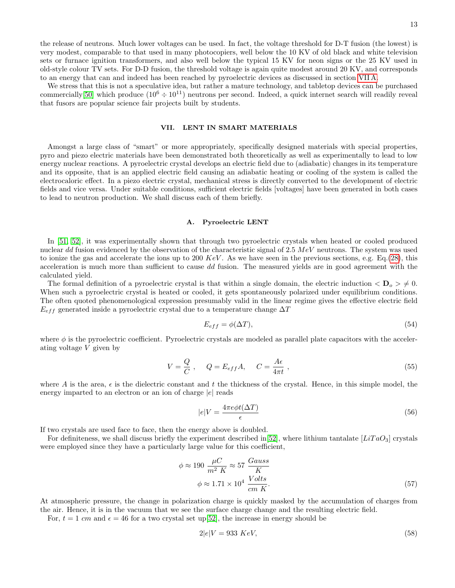the release of neutrons. Much lower voltages can be used. In fact, the voltage threshold for D-T fusion (the lowest) is very modest, comparable to that used in many photocopiers, well below the 10 KV of old black and white television sets or furnace ignition transformers, and also well below the typical 15 KV for neon signs or the 25 KV used in old-style colour TV sets. For D-D fusion, the threshold voltage is again quite modest around 20 KV, and corresponds to an energy that can and indeed has been reached by pyroelectric devices as discussed in section [VII A.](#page-12-1)

We stress that this is not a speculative idea, but rather a mature technology, and tabletop devices can be purchased commercially [\[50\]](#page-16-33) which produce  $(10^6 \div 10^{11})$  neutrons per second. Indeed, a quick internet search will readily reveal that fusors are popular science fair projects built by students.

# <span id="page-12-0"></span>VII. LENT IN SMART MATERIALS

Amongst a large class of "smart" or more appropriately, specifically designed materials with special properties, pyro and piezo electric materials have been demonstrated both theoretically as well as experimentally to lead to low energy nuclear reactions. A pyroelectric crystal develops an electric field due to (adiabatic) changes in its temperature and its opposite, that is an applied electric field causing an adiabatic heating or cooling of the system is called the electrocaloric effect. In a piezo electric crystal, mechanical stress is directly converted to the development of electric fields and vice versa. Under suitable conditions, sufficient electric fields [voltages] have been generated in both cases to lead to neutron production. We shall discuss each of them briefly.

### <span id="page-12-1"></span>A. Pyroelectric LENT

In [\[51,](#page-16-34) [52\]](#page-16-35), it was experimentally shown that through two pyroelectric crystals when heated or cooled produced nuclear dd fusion evidenced by the observation of the characteristic signal of 2.5  $MeV$  neutrons. The system was used to ionize the gas and accelerate the ions up to 200  $KeV$ . As we have seen in the previous sections, e.g. Eq.[\(28\)](#page-5-1), this acceleration is much more than sufficient to cause dd fusion. The measured yields are in good agreement with the calculated yield.

The formal definition of a pyroelectric crystal is that within a single domain, the electric induction  $\langle D_{\rho} \rangle \neq 0$ . When such a pyroelectric crystal is heated or cooled, it gets spontaneously polarized under equilibrium conditions. The often quoted phenomenological expression presumably valid in the linear regime gives the effective electric field  $E_{eff}$  generated inside a pyroelectric crystal due to a temperature change  $\Delta T$ 

$$
E_{eff} = \phi(\Delta T),\tag{54}
$$

where  $\phi$  is the pyroelectric coefficient. Pyroelectric crystals are modeled as parallel plate capacitors with the accelerating voltage V given by

$$
V = \frac{Q}{C}, \qquad Q = E_{eff}A, \qquad C = \frac{A\epsilon}{4\pi t}, \qquad (55)
$$

where A is the area,  $\epsilon$  is the dielectric constant and t the thickness of the crystal. Hence, in this simple model, the energy imparted to an electron or an ion of charge  $|e|$  reads

$$
|e|V = \frac{4\pi e\phi t(\Delta T)}{\epsilon} \tag{56}
$$

If two crystals are used face to face, then the energy above is doubled.

For definiteness, we shall discuss briefly the experiment described in  $[52]$ , where lithium tantalate  $[LITaO_3]$  crystals were employed since they have a particularly large value for this coefficient,

$$
\phi \approx 190 \frac{\mu C}{m^2 K} \approx 57 \frac{Gauss}{K}
$$

$$
\phi \approx 1.71 \times 10^4 \frac{Volts}{cm K}.
$$
 (57)

At atmospheric pressure, the change in polarization charge is quickly masked by the accumulation of charges from the air. Hence, it is in the vacuum that we see the surface charge change and the resulting electric field.

For,  $t = 1$  cm and  $\epsilon = 46$  for a two crystal set up [\[52\]](#page-16-35), the increase in energy should be

$$
2|e|V = 933 KeV,\tag{58}
$$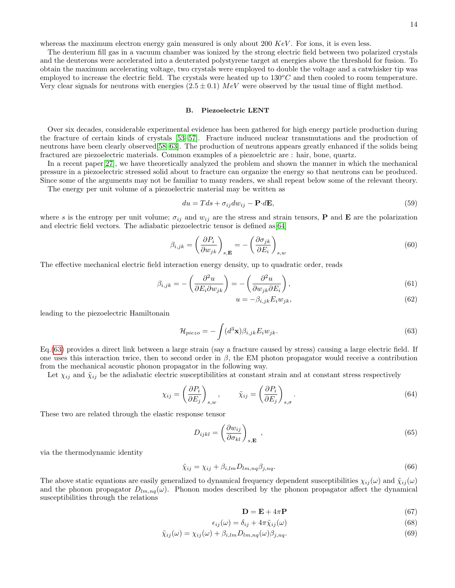whereas the maximum electron energy gain measured is only about 200  $KeV$ . For ions, it is even less.

The deuterium fill gas in a vacuum chamber was ionized by the strong electric field between two polarized crystals and the deuterons were accelerated into a deuterated polystyrene target at energies above the threshold for fusion. To obtain the maximum accelerating voltage, two crystals were employed to double the voltage and a catwhisker tip was employed to increase the electric field. The crystals were heated up to  $130^{\circ}C$  and then cooled to room temperature. Very clear signals for neutrons with energies  $(2.5 \pm 0.1)$  MeV were observed by the usual time of flight method.

### B. Piezoelectric LENT

Over six decades, considerable experimental evidence has been gathered for high energy particle production during the fracture of certain kinds of crystals [\[53–](#page-16-36)[57\]](#page-16-37). Fracture induced nuclear transmutations and the production of neutrons have been clearly observed[\[58](#page-16-38)[–63\]](#page-16-39). The production of neutrons appears greatly enhanced if the solids being fractured are piezoelectric materials. Common examples of a piezoelctric are : hair, bone, quartz.

In a recent paper[\[27\]](#page-16-12), we have theoretically analyzed the problem and shown the manner in which the mechanical pressure in a piezoelectric stressed solid about to fracture can organize the energy so that neutrons can be produced. Since some of the arguments may not be familiar to many readers, we shall repeat below some of the relevant theory.

The energy per unit volume of a piezoelectric material may be written as

$$
du = Tds + \sigma_{ij}dw_{ij} - \mathbf{P} \cdot d\mathbf{E},\tag{59}
$$

where s is the entropy per unit volume;  $\sigma_{ij}$  and  $w_{ij}$  are the stress and strain tensors, **P** and **E** are the polarization and electric field vectors. The adiabatic piezoelectric tensor is defined as  $[64]$ 

$$
\beta_{i,jk} = \left(\frac{\partial P_i}{\partial w_{jk}}\right)_{s,\mathbf{E}} = -\left(\frac{\partial \sigma_{jk}}{\partial E_i}\right)_{s,w}
$$
\n(60)

The effective mechanical electric field interaction energy density, up to quadratic order, reads

$$
\beta_{i,jk} = -\left(\frac{\partial^2 u}{\partial E_i \partial w_{jk}}\right) = -\left(\frac{\partial^2 u}{\partial w_{jk} \partial E_i}\right),\tag{61}
$$

$$
u = -\beta_{i,jk} E_i w_{jk},\tag{62}
$$

leading to the piezoelectric Hamiltonain

<span id="page-13-0"></span>
$$
\mathcal{H}_{piezo} = -\int (d^3 \mathbf{x}) \beta_{i,jk} E_i w_{jk}.
$$
\n(63)

Eq.[\(63\)](#page-13-0) provides a direct link between a large strain (say a fracture caused by stress) causing a large electric field. If one uses this interaction twice, then to second order in  $\beta$ , the EM photon propagator would receive a contribution from the mechanical acoustic phonon propagator in the following way.

Let  $\chi_{ij}$  and  $\tilde{\chi}_{ij}$  be the adiabatic electric susceptibilities at constant strain and at constant stress respectively

$$
\chi_{ij} = \left(\frac{\partial P_i}{\partial E_j}\right)_{s,w}, \qquad \tilde{\chi}_{ij} = \left(\frac{\partial P_i}{\partial E_j}\right)_{s,\sigma}.
$$
\n(64)

These two are related through the elastic response tensor

$$
D_{ijkl} = \left(\frac{\partial w_{ij}}{\partial \sigma_{kl}}\right)_{s,\mathbf{E}} , \qquad (65)
$$

via the thermodynamic identity

$$
\tilde{\chi}_{ij} = \chi_{ij} + \beta_{i,lm} D_{lm,nq} \beta_{j,nq}.
$$
\n(66)

The above static equations are easily generalized to dynamical frequency dependent susceptibilities  $\chi_{ij}(\omega)$  and  $\tilde{\chi}_{ij}(\omega)$ and the phonon propagator  $D_{lm,nq}(\omega)$ . Phonon modes described by the phonon propagator affect the dynamical susceptibilities through the relations

$$
\mathbf{D} = \mathbf{E} + 4\pi \mathbf{P} \tag{67}
$$

$$
\epsilon_{ij}(\omega) = \delta_{ij} + 4\pi \tilde{\chi}_{ij}(\omega) \tag{68}
$$

$$
\tilde{\chi}_{ij}(\omega) = \chi_{ij}(\omega) + \beta_{i,lm} D_{lm,nq}(\omega) \beta_{j,nq}.
$$
\n(69)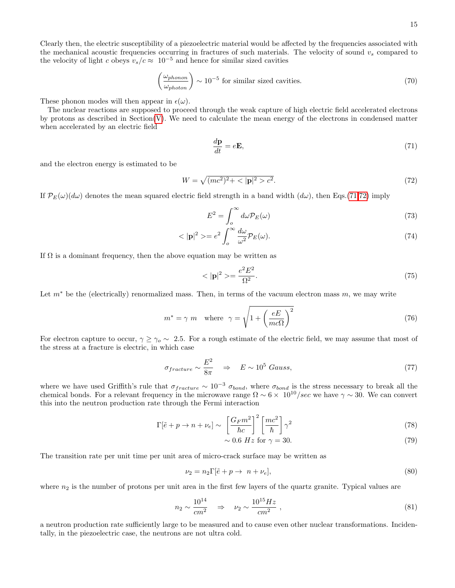Clearly then, the electric susceptibility of a piezoelectric material would be affected by the frequencies associated with the mechanical acoustic frequencies occurring in fractures of such materials. The velocity of sound  $v<sub>s</sub>$  compared to the velocity of light c obeys  $v_s/c \approx 10^{-5}$  and hence for similar sized cavities

$$
\left(\frac{\omega_{phonon}}{\omega_{photon}}\right) \sim 10^{-5} \text{ for similar sized cavities.} \tag{70}
$$

These phonon modes will then appear in  $\epsilon(\omega)$ .

The nuclear reactions are supposed to proceed through the weak capture of high electric field accelerated electrons by protons as described in Section[\(V\)](#page-8-1). We need to calculate the mean energy of the electrons in condensed matter when accelerated by an electric field

<span id="page-14-0"></span>
$$
\frac{d\mathbf{p}}{dt} = e\mathbf{E},\tag{71}
$$

and the electron energy is estimated to be

<span id="page-14-1"></span>
$$
W = \sqrt{(mc^2)^2 + \langle |\mathbf{p}|^2 > c^2}.
$$
\n(72)

If  $\mathcal{P}_E(\omega)(d\omega)$  denotes the mean squared electric field strength in a band width  $(d\omega)$ , then Eqs.[\(71,](#page-14-0)[72\)](#page-14-1) imply

$$
E^2 = \int_o^{\infty} d\omega \mathcal{P}_E(\omega) \tag{73}
$$

$$
\langle |\mathbf{p}|^2 \rangle = e^2 \int_0^\infty \frac{d\omega}{\omega^2} \mathcal{P}_E(\omega). \tag{74}
$$

If  $\Omega$  is a dominant frequency, then the above equation may be written as

$$
\langle \vert \mathbf{p} \vert^2 \rangle = \frac{e^2 E^2}{\Omega^2}.\tag{75}
$$

Let  $m^*$  be the (electrically) renormalized mass. Then, in terms of the vacuum electron mass m, we may write

$$
m^* = \gamma \ m \quad \text{where} \quad \gamma = \sqrt{1 + \left(\frac{eE}{mc\Omega}\right)^2} \tag{76}
$$

For electron capture to occur,  $\gamma \ge \gamma_o \sim 2.5$ . For a rough estimate of the electric field, we may assume that most of the stress at a fracture is electric, in which case

$$
\sigma_{fracture} \sim \frac{E^2}{8\pi} \quad \Rightarrow \quad E \sim 10^5 \text{ Gauss}, \tag{77}
$$

where we have used Griffith's rule that  $\sigma_{fracture} \sim 10^{-3} \sigma_{bond}$ , where  $\sigma_{bond}$  is the stress necessary to break all the chemical bonds. For a relevant frequency in the microwave range  $\Omega \sim 6 \times 10^{10}/sec$  we have  $\gamma \sim 30$ . We can convert this into the neutron production rate through the Fermi interaction

$$
\Gamma[\tilde{e} + p \to n + \nu_e] \sim \left[\frac{G_F m^2}{\hbar c}\right]^2 \left[\frac{mc^2}{\hbar}\right] \gamma^2 \tag{78}
$$

$$
\sim 0.6 \ Hz \text{ for } \gamma = 30. \tag{79}
$$

The transition rate per unit time per unit area of micro-crack surface may be written as

$$
\nu_2 = n_2 \Gamma[\tilde{e} + p \to n + \nu_e],\tag{80}
$$

where  $n_2$  is the number of protons per unit area in the first few layers of the quartz granite. Typical values are

$$
n_2 \sim \frac{10^{14}}{cm^2} \quad \Rightarrow \quad \nu_2 \sim \frac{10^{15} Hz}{cm^2} \,, \tag{81}
$$

a neutron production rate sufficiently large to be measured and to cause even other nuclear transformations. Incidentally, in the piezoelectric case, the neutrons are not ultra cold.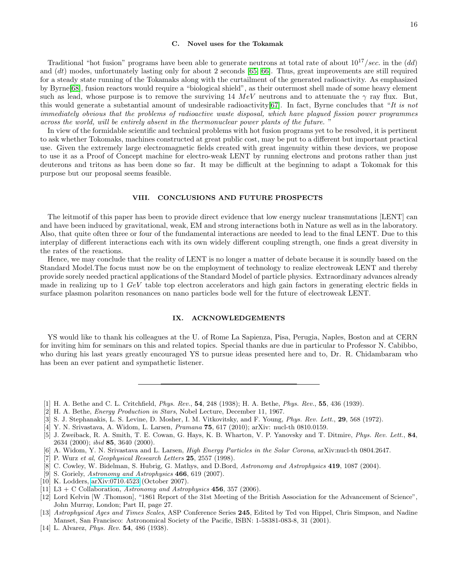### <span id="page-15-12"></span>C. Novel uses for the Tokamak

Traditional "hot fusion" programs have been able to generate neutrons at total rate of about  $10^{17}/sec$ . in the (dd) and (dt) modes, unfortunately lasting only for about 2 seconds [\[65,](#page-16-41) [66\]](#page-16-42). Thus, great improvements are still required for a steady state running of the Tokamaks along with the curtailment of the generated radioactivity. As emphasized by Byrne[\[68\]](#page-17-0), fusion reactors would require a "biological shield", as their outermost shell made of some heavy element such as lead, whose purpose is to remove the surviving 14 MeV neutrons and to attenuate the  $\gamma$  ray flux. But, this would generate a substantial amount of undesirable radioactivity [\[67\]](#page-16-43). In fact, Byrne concludes that "It is not immediately obvious that the problems of radioactive waste disposal, which have plagued fission power programmes across the world, will be entirely absent in the thermonuclear power plants of the future. "

In view of the formidable scientific and technical problems with hot fusion programs yet to be resolved, it is pertinent to ask whether Tokomaks, machines constructed at great public cost, may be put to a different but important practical use. Given the extremely large electromagnetic fields created with great ingenuity within these devices, we propose to use it as a Proof of Concept machine for electro-weak LENT by running electrons and protons rather than just deuterons and tritons as has been done so far. It may be difficult at the beginning to adapt a Tokomak for this purpose but our proposal seems feasible.

# VIII. CONCLUSIONS AND FUTURE PROSPECTS

The leitmotif of this paper has been to provide direct evidence that low energy nuclear transmutations [LENT] can and have been induced by gravitational, weak, EM and strong interactions both in Nature as well as in the laboratory. Also, that quite often three or four of the fundamental interactions are needed to lead to the final LENT. Due to this interplay of different interactions each with its own widely different coupling strength, one finds a great diversity in the rates of the reactions.

Hence, we may conclude that the reality of LENT is no longer a matter of debate because it is soundly based on the Standard Model.The focus must now be on the employment of technology to realize electroweak LENT and thereby provide sorely needed practical applications of the Standard Model of particle physics. Extraordinary advances already made in realizing up to  $1 \text{ GeV}$  table top electron accelerators and high gain factors in generating electric fields in surface plasmon polariton resonances on nano particles bode well for the future of electroweak LENT.

# IX. ACKNOWLEDGEMENTS

YS would like to thank his colleagues at the U. of Rome La Sapienza, Pisa, Perugia, Naples, Boston and at CERN for inviting him for seminars on this and related topics. Special thanks are due in particular to Professor N. Cabibbo, who during his last years greatly encouraged YS to pursue ideas presented here and to, Dr. R. Chidambaram who has been an ever patient and sympathetic listener.

- <span id="page-15-0"></span>[1] H. A. Bethe and C. L. Critchfield, Phys. Rev., 54, 248 (1938); H. A. Bethe, Phys. Rev., 55, 436 (1939).
- <span id="page-15-1"></span>[2] H. A. Bethe, Energy Production in Stars, Nobel Lecture, December 11, 1967.
- <span id="page-15-2"></span>[3] S. J. Stephanakis, L. S. Levine, D. Mosher, I. M. Vitkovitsky, and F. Young, *Phys. Rev. Lett.*, **29**, 568 (1972).
- <span id="page-15-3"></span>[4] Y. N. Srivastava, A. Widom, L. Larsen, Pramana 75, 617 (2010); arXiv: nucl-th 0810.0159.
- <span id="page-15-4"></span>[5] J. Zweiback, R. A. Smith, T. E. Cowan, G. Hays, K. B. Wharton, V. P. Yanovsky and T. Ditmire, Phys. Rev. Lett., 84, 2634 (2000); ibid 85, 3640 (2000).
- <span id="page-15-5"></span>[6] A. Widom, Y. N. Srivastava and L. Larsen, High Energy Particles in the Solar Corona, arXiv:nucl-th 0804.2647.
- <span id="page-15-6"></span>[7] P. Wurz et al, Geophysical Research Letters 25, 2557 (1998).
- [8] C. Cowley, W. Bidelman, S. Hubrig, G. Mathys, and D.Bord, Astronomy and Astrophysics 419, 1087 (2004).
- [9] S. Goriely, Astronomy and Astrophysics 466, 619 (2007).
- <span id="page-15-7"></span>[10] K. Lodders, [arXiv:0710.4523](http://arxiv.org/abs/0710.4523) (October 2007).
- <span id="page-15-8"></span>[11] L3 + C Collaboration, Astronomy and Astrophysics  $456$ , 357 (2006).
- <span id="page-15-9"></span>[12] Lord Kelvin [W .Thomson], "1861 Report of the 31st Meeting of the British Association for the Advancement of Science", John Murray, London; Part II, page 27.
- <span id="page-15-10"></span>[13] Astrophysical Ages and Times Scales, ASP Conference Series 245, Edited by Ted von Hippel, Chris Simpson, and Nadine Manset, San Francisco: Astronomical Society of the Pacific, ISBN: 1-58381-083-8, 31 (2001).
- <span id="page-15-11"></span>[14] L. Alvarez, *Phys. Rev.* **54**, 486 (1938).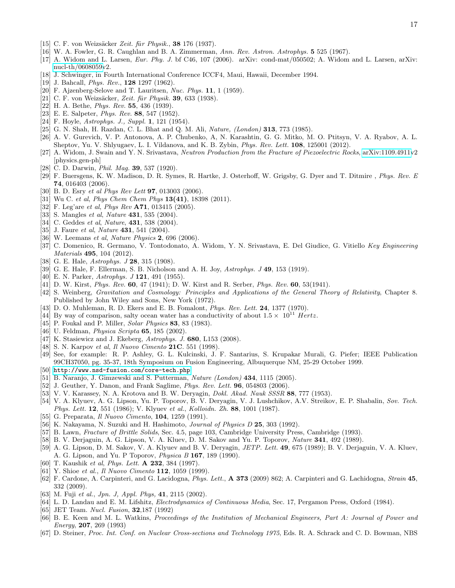- <span id="page-16-0"></span>[15] C. F. von Weizsäcker Zeit. für Physik., 38 176 (1937).
- <span id="page-16-1"></span>[16] W. A. Fowler, G. R. Caughlan and B. A. Zimmerman, Ann. Rev. Astron. Astrophys. 5 525 (1967).
- <span id="page-16-2"></span>[17] A. Widom and L. Larsen, Eur. Phy. J. bf C46, 107 (2006). arXiv: cond-mat/050502; A. Widom and L. Larsen, arXiv: [nucl-th/0608059v](http://arxiv.org/abs/nucl-th/0608059)2.
- <span id="page-16-3"></span>[18] J. Schwinger, in Fourth International Conference ICCF4, Maui, Hawaii, December 1994.
- <span id="page-16-4"></span>[19] J. Bahcall, *Phys. Rev.*, **128** 1297 (1962).
- <span id="page-16-5"></span>[20] F. Ajzenberg-Selove and T. Lauritsen, Nuc. Phys. 11, 1 (1959).
- <span id="page-16-6"></span>[21] C. F. von Weizsäcker, Zeit. für Physik. 39, 633 (1938).
- <span id="page-16-7"></span>[22] H. A. Bethe, *Phys. Rev.* 55, 436 (1939).
- <span id="page-16-8"></span>[23] E. E. Salpeter, Phys. Rev. 88, 547 (1952).
- <span id="page-16-9"></span>[24] F. Hoyle, *Astrophys. J., Suppl.* **1**, 121 (1954).
- <span id="page-16-10"></span>[25] G. N. Shah, H. Razdan, C. L. Bhat and Q. M. Ali, *Nature, (London)* **313**, 773 (1985).
- <span id="page-16-11"></span>[26] A. V. Gurevich, V. P. Antonova, A. P. Chubenko, A, N. Karashtin, G. G. Mitko, M. O. Ptitsyn, V. A. Ryabov, A. L. Sheptov, Yu. V. Shlyugaev, L. I. Vildanova, and K. B. Zybin, Phys. Rev. Lett. 108, 125001 (2012).
- <span id="page-16-12"></span>[27] A. Widom, J. Swain and Y. N. Srivastava, Neutron Production from the Fracture of Piezoelectric Rocks, [arXiv:1109.4911v](http://arxiv.org/abs/1109.4911)2 [physics.gen-ph]
- <span id="page-16-13"></span>[28] C. D. Darwin, *Phil. Mag.* **39**, 537 (1920).
- <span id="page-16-14"></span>[29] F. Buersgens, K. W. Madison, D. R. Symes, R. Hartke, J. Osterhoff, W. Grigsby, G. Dyer and T. Ditmire , Phys. Rev. E 74, 016403 (2006).
- <span id="page-16-15"></span>[30] B. D. Esry et al Phys Rev Lett 97, 013003 (2006).
- <span id="page-16-16"></span>[31] Wu C. et al, *Phys Chem Chem Phys* **13(41)**, 18398 (2011).
- <span id="page-16-17"></span>[32] F. Leg'are et al, *Phys Rev* **A71**, 013415 (2005).
- <span id="page-16-18"></span>[33] S. Mangles *et al, Nature* **431**, 535 (2004).
- [34] C. Geddes *et al, Nature*, **431**, 538 (2004).
- <span id="page-16-19"></span>[35] J. Faure et al, Nature **431**, 541 (2004).
- <span id="page-16-20"></span>[36] W. Leemans et al, Nature Physics 2, 696 (2006).
- <span id="page-16-21"></span>[37] C. Domenico, R. Germano, V. Tontodonato, A. Widom, Y. N. Srivastava, E. Del Giudice, G. Vitiello Key Engineering Materials 495, 104 (2012).
- <span id="page-16-22"></span>[38] G. E. Hale, *Astrophys.* **J 28**, 315 (1908).
- <span id="page-16-23"></span>[39] G. E. Hale, F. Ellerman, S. B. Nicholson and A. H. Joy, Astrophys. J 49, 153 (1919).
- <span id="page-16-24"></span>[40] E. N. Parker, Astrophys. J **121**, 491 (1955).
- <span id="page-16-25"></span>[41] D. W. Kirst, Phys. Rev. 60, 47 (1941); D. W. Kirst and R. Serber, Phys. Rev. 60, 53(1941).
- <span id="page-16-26"></span>[42] S. Weinberg, Gravitation and Cosmology: Principles and Applications of the General Theory of Relativity, Chapter 8. Published by John Wiley and Sons, New York (1972).
- <span id="page-16-27"></span>[43] D. O. Muhleman, R. D. Ekers and E. B. Fomalont, Phys. Rev. Lett. 24, 1377 (1970).
- <span id="page-16-28"></span>[44] By way of comparison, salty ocean water has a conductivity of about  $1.5 \times 10^{11}$  Hertz.
- <span id="page-16-29"></span>[45] P. Foukal and P. Miller, *Solar Physics* **83**, 83 (1983).
- [46] U. Feldman, *Physica Scripta* **65**, 185 (2002).
- <span id="page-16-30"></span>[47] K. Stasiewicz and J. Ekeberg, Astrophys. J. 680, L153 (2008).
- <span id="page-16-31"></span>[48] S. N. Karpov et al, *Il Nuovo Cimento* **21C**. 551 (1998).
- <span id="page-16-32"></span>[49] See, for example: R. P. Ashley, G. L. Kulcinski, J. F. Santarius, S. Krupakar Murali, G. Piefer; IEEE Publication 99CH37050, pg. 35-37, 18th Symposium on Fusion Engineering, Albuquerque NM, 25-29 October 1999.
- <span id="page-16-33"></span>[50] <http://www.nsd-fusion.com/core-tech.php>
- <span id="page-16-34"></span>[51] B. Naranjo, J. Gimzewski and S. Putterman, *Nature (London)* **434**, 1115 (2005).
- <span id="page-16-35"></span>[52] J. Geuther, Y. Danon, and Frank Saglime, Phys. Rev. Lett. 96, 054803 (2006).
- <span id="page-16-36"></span>[53] V. V. Karassey, N. A. Krotova and B. W. Deryagin, *Dokl. Akad. Nauk SSSR* 88, 777 (1953).
- [54] V. A. Klyuev, A. G. Lipson, Yu. P. Toporov, B. V. Deryagin, V. J. Lushchikov, A.V. Streikov, E. P. Shabalin, Sov. Tech. Phys. Lett. 12, 551 (1986); V. Klyuev et al., Kolloidn. Zh. 88, 1001 (1987).
- [55] G. Preparata, Il Nuovo Cimento, 104, 1259 (1991).
- [56] K. Nakayama, N. Suzuki and H. Hashimoto, *Journal of Physics D* 25, 303 (1992).
- <span id="page-16-37"></span>[57] B. Lawn, Fracture of Brittle Solids, Sec. 4.5, page 103, Cambridge University Press, Cambridge (1993).
- <span id="page-16-38"></span>[58] B. V. Derjaguin, A. G. Lipson, V. A. Kluev, D. M. Sakov and Yu. P. Toporov, Nature 341, 492 (1989).
- [59] A. G. Lipson, D. M. Sakov, V. A. Klyuev and B. V. Deryagin, JETP. Lett. 49, 675 (1989); B. V. Derjaguin, V. A. Kluev, A. G. Lipson, and Yu. P Toporov, Physica B 167, 189 (1990).
- [60] T. Kaushik et al, Phys. Lett. **A 232**, 384 (1997).
- [61] Y. Shioe et al., *Il Nuovo Cimento* **112**, 1059 (1999).
- [62] F. Cardone, A. Carpinteri, and G. Lacidogna, Phys. Lett., A 373 (2009) 862; A. Carpinteri and G. Lachidogna, Strain 45, 332 (2009).
- <span id="page-16-39"></span>[63] M. Fuji et al., Jpn. J, Appl. Phys, 41, 2115 (2002).
- <span id="page-16-40"></span>[64] L. D. Landau and E. M. Lifshitz, Electrodynamics of Continuous Media, Sec. 17, Pergamon Press, Oxford (1984).
- <span id="page-16-41"></span>[65] JET Team. Nucl. Fusion, **32**, 187 (1992)
- <span id="page-16-42"></span>[66] B. E. Keen and M. L. Watkins, Proceedings of the Institution of Mechanical Engineers, Part A: Journal of Power and Energy, 207, 269 (1993)
- <span id="page-16-43"></span>[67] D. Steiner, Proc. Int. Conf. on Nuclear Cross-sections and Technology 1975, Eds. R. A. Schrack and C. D. Bowman, NBS